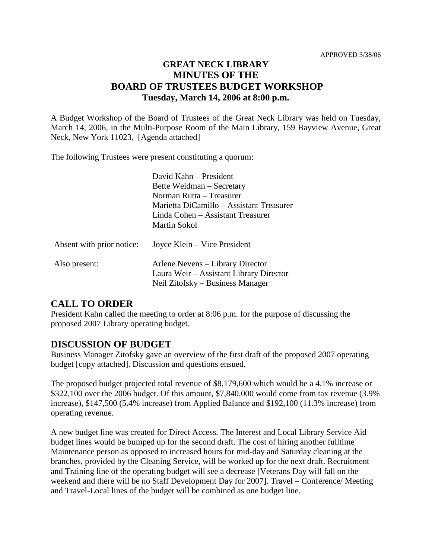## **GREAT NECK LIBRARY MINUTES OF THE BOARD OF TRUSTEES BUDGET WORKSHOP Tuesday, March 14, 2006 at 8:00 p.m.**

A Budget Workshop of the Board of Trustees of the Great Neck Library was held on Tuesday, March 14, 2006, in the Multi-Purpose Room of the Main Library, 159 Bayview Avenue, Great Neck, New York 11023. [Agenda attached]

The following Trustees were present constituting a quorum:

|                           | David Kahn - President<br>Bette Weidman – Secretary<br>Norman Rutta – Treasurer<br>Marietta DiCamillo – Assistant Treasurer<br>Linda Cohen - Assistant Treasurer<br>Martin Sokol |
|---------------------------|----------------------------------------------------------------------------------------------------------------------------------------------------------------------------------|
| Absent with prior notice: | Joyce Klein – Vice President                                                                                                                                                     |
| Also present:             | Arlene Nevens – Library Director<br>Laura Weir – Assistant Library Director<br>Neil Zitofsky – Business Manager                                                                  |

## **CALL TO ORDER**

President Kahn called the meeting to order at 8:06 p.m. for the purpose of discussing the proposed 2007 Library operating budget.

## **DISCUSSION OF BUDGET**

Business Manager Zitofsky gave an overview of the first draft of the proposed 2007 operating budget [copy attached]. Discussion and questions ensued.

The proposed budget projected total revenue of \$8,179,600 which would be a 4.1% increase or \$322,100 over the 2006 budget. Of this amount, \$7,840,000 would come from tax revenue (3.9% increase), \$147,500 (5.4% increase) from Applied Balance and \$192,100 (11.3% increase) from operating revenue.

A new budget line was created for Direct Access. The Interest and Local Library Service Aid budget lines would be bumped up for the second draft. The cost of hiring another fulltime Maintenance person as opposed to increased hours for mid-day and Saturday cleaning at the branches, provided by the Cleaning Service, will be worked up for the next draft. Recruitment and Training line of the operating budget will see a decrease [Veterans Day will fall on the weekend and there will be no Staff Development Day for 2007]. Travel – Conference/ Meeting and Travel-Local lines of the budget will be combined as one budget line.